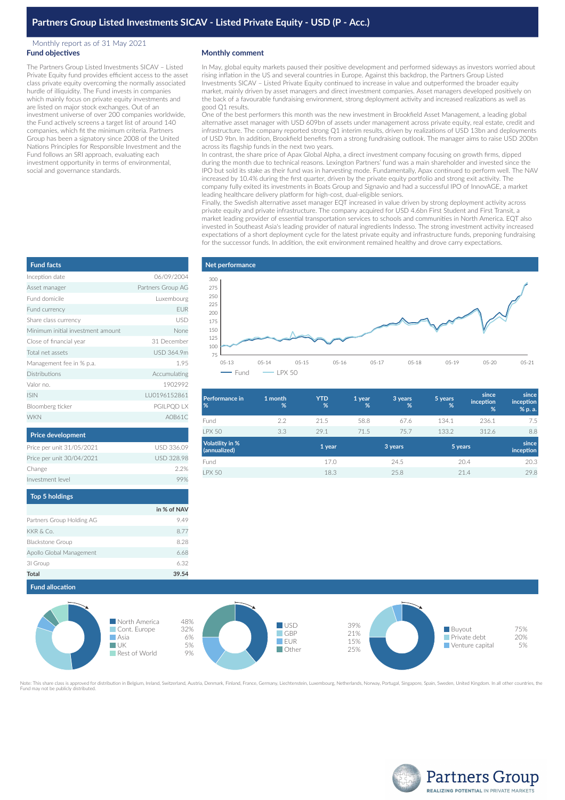## Monthly report as of 31 May 2021 **Fund objectives**

The Partners Group Listed Investments SICAV – Listed Private Equity fund provides efficient access to the asset class private equity overcoming the normally associated hurdle of illiquidity. The Fund invests in companies which mainly focus on private equity investments and are listed on major stock exchanges. Out of an investment universe of over 200 companies worldwide, the Fund actively screens a target list of around 140 companies, which fit the minimum criteria. Partners Group has been a signatory since 2008 of the United Nations Principles for Responsible Investment and the Fund follows an SRI approach, evaluating each investment opportunity in terms of environmental, social and governance standards.

## **Monthly comment**

In May, global equity markets paused their positive development and performed sideways as investors worried about rising inflation in the US and several countries in Europe. Against this backdrop, the Partners Group Listed Investments SICAV – Listed Private Equity continued to increase in value and outperformed the broader equity market, mainly driven by asset managers and direct investment companies. Asset managers developed positively on the back of a favourable fundraising environment, strong deployment activity and increased realizations as well as good Q1 results.

One of the best performers this month was the new investment in Brookfield Asset Management, a leading global alternative asset manager with USD 609bn of assets under management across private equity, real estate, credit and infrastructure. The company reported strong Q1 interim results, driven by realizations of USD 13bn and deployments of USD 9bn. In addition, Brookfield benefits from a strong fundraising outlook. The manager aims to raise USD 200bn across its flagship funds in the next two years.

In contrast, the share price of Apax Global Alpha, a direct investment company focusing on growth firms, dipped during the month due to technical reasons. Lexington Partners' fund was a main shareholder and invested since the IPO but sold its stake as their fund was in harvesting mode. Fundamentally, Apax continued to perform well. The NAV increased by 10.4% during the first quarter, driven by the private equity portfolio and strong exit activity. The company fully exited its investments in Boats Group and Signavio and had a successful IPO of InnovAGE, a market leading healthcare delivery platform for high-cost, dual-eligible seniors.

Finally, the Swedish alternative asset manager EQT increased in value driven by strong deployment activity across private equity and private infrastructure. The company acquired for USD 4.6bn First Student and First Transit, a market leading provider of essential transportation services to schools and communities in North America. EQT also invested in Southeast Asia's leading provider of natural ingredients Indesso. The strong investment activity increased expectations of a short deployment cycle for the latest private equity and infrastructure funds, preponing fundraising for the successor funds. In addition, the exit environment remained healthy and drove carry expectations.



| Performance in<br>%                    | 1 month<br>%      | <b>YTD</b><br>% | 1 year<br>% | 3 years<br>% | 5 years<br>% | since<br>inception<br>% | since<br>inception<br>% p. a. |
|----------------------------------------|-------------------|-----------------|-------------|--------------|--------------|-------------------------|-------------------------------|
| Fund                                   | 2.2               | 21.5            | 58.8        | 67.6         | 134.1        | 236.1                   | 7.5                           |
| <b>I PX 50</b>                         | 3.3               | 29.1            | 71.5        | 75.7         | 133.2        | 312.6                   | 8.8                           |
| <b>Volatility in %</b><br>(annualized) | 1 year<br>3 years |                 |             | 5 years      |              | since<br>inception      |                               |
| Fund                                   |                   | 17.0            |             | 24.5         |              | 20.4                    | 20.3                          |
| <b>LPX 50</b>                          |                   | 18.3            |             | 25.8         |              | 21.4                    | 29.8                          |
|                                        |                   |                 |             |              |              |                         |                               |

| <b>Fund facts</b>                 |                   |
|-----------------------------------|-------------------|
| Inception date                    | 06/09/2004        |
| Asset manager                     | Partners Group AG |
| Fund domicile                     | Luxembourg        |
| Fund currency                     | <b>EUR</b>        |
| Share class currency              | USD               |
| Minimum initial investment amount | None              |
| Close of financial year           | 31 December       |
| Total net assets                  | USD 364.9m        |
| Management fee in % p.a.          | 1.95              |
| <b>Distributions</b>              | Accumulating      |
| Valor no.                         | 1902992           |
| <b>ISIN</b>                       | LU0196152861      |
| Bloomberg ticker                  | PGILPQD LX        |
| <b>WKN</b>                        | A0B61C            |
|                                   |                   |

| <b>FIRE UCVERPHICHL</b>   |                   |
|---------------------------|-------------------|
| Price per unit 31/05/2021 | USD 336.09        |
| Price per unit 30/04/2021 | <b>USD 328.98</b> |
| Change                    | 22%               |
| Investment level          |                   |
|                           |                   |
|                           |                   |

| <b>TOD 3 HORTILES</b>     |             |
|---------------------------|-------------|
|                           | in % of NAV |
| Partners Group Holding AG | 9.49        |
| KKR & Co.                 | 8.77        |
| <b>Blackstone Group</b>   | 8.28        |
| Apollo Global Management  | 6.68        |
| 31 Group                  | 6.32        |
| <b>Total</b>              | 39.54       |



.<br>I for distribution in Belgium, Ireland, Switzerland, Austria, Denmark, Finland, France, Germany, Liechtenstein, Luxembourg, Netherlands, Norway, Portugal, Singapore, Spain, Sweden, United Kingdom. In all other countries, Fund may not be publicly distributed.



| <b>Price development</b>  |                   |
|---------------------------|-------------------|
| Price per unit 31/05/2021 | USD 336.09        |
| Price per unit 30/04/2021 | <b>USD 328.98</b> |
| Change                    | 22%               |
| Investment level          |                   |
|                           |                   |

| Top 5 holdings           |             |
|--------------------------|-------------|
|                          | in % of NAV |
| artners Group Holding AG | 9.49        |
| (KR & Co.                | 8.77        |
| <b>Blackstone Group</b>  | 8.28        |
| Apollo Global Management | 6.68        |
| il Group                 | 6.32        |
| otal                     | 39.54       |